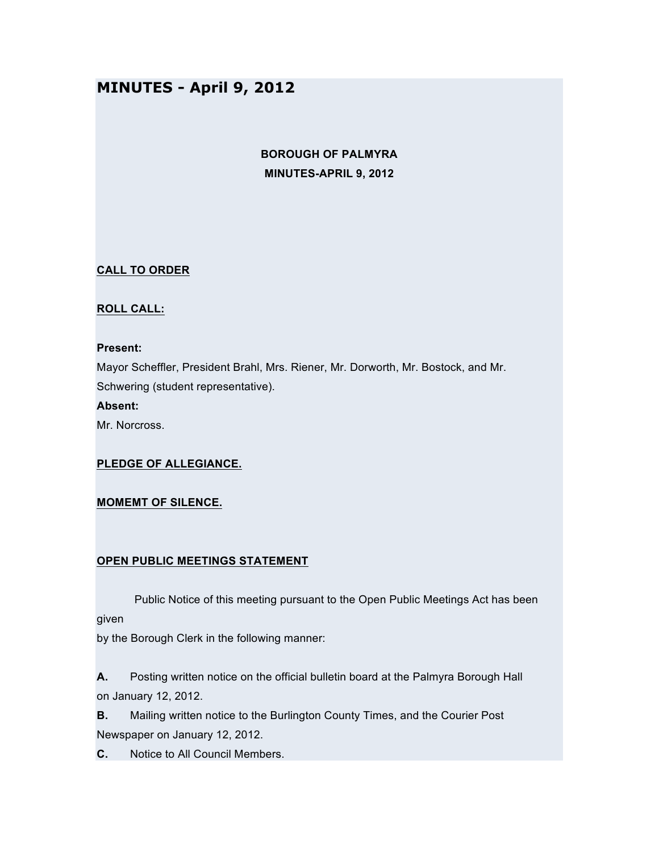# **MINUTES - April 9, 2012**

## **BOROUGH OF PALMYRA MINUTES-APRIL 9, 2012**

## **CALL TO ORDER**

## **ROLL CALL:**

#### **Present:**

Mayor Scheffler, President Brahl, Mrs. Riener, Mr. Dorworth, Mr. Bostock, and Mr. Schwering (student representative).

**Absent:**

Mr. Norcross.

### **PLEDGE OF ALLEGIANCE.**

#### **MOMEMT OF SILENCE.**

#### **OPEN PUBLIC MEETINGS STATEMENT**

Public Notice of this meeting pursuant to the Open Public Meetings Act has been given

by the Borough Clerk in the following manner:

**A.** Posting written notice on the official bulletin board at the Palmyra Borough Hall on January 12, 2012.

**B.** Mailing written notice to the Burlington County Times, and the Courier Post Newspaper on January 12, 2012.

**C.** Notice to All Council Members.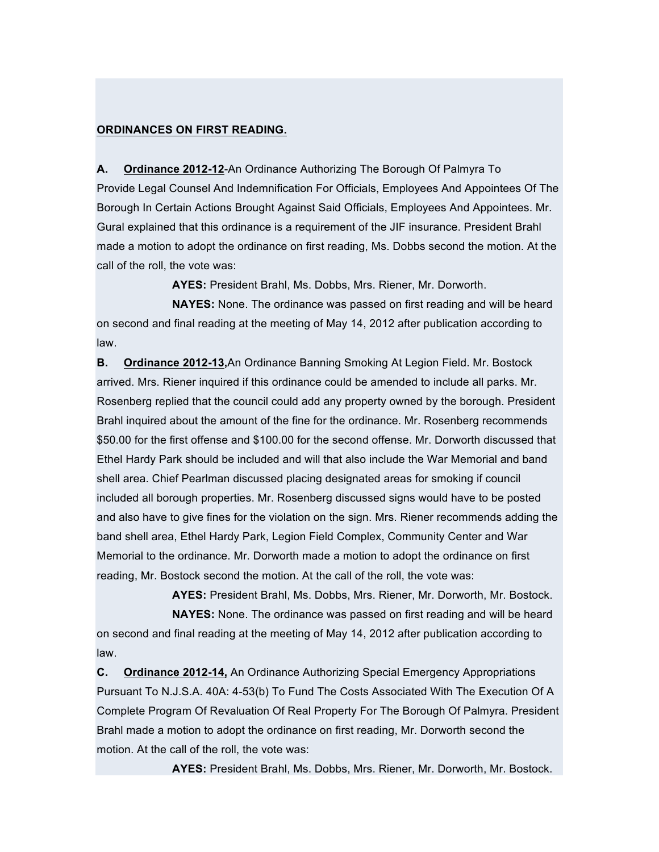#### **ORDINANCES ON FIRST READING.**

**A. Ordinance 2012-12**-An Ordinance Authorizing The Borough Of Palmyra To Provide Legal Counsel And Indemnification For Officials, Employees And Appointees Of The Borough In Certain Actions Brought Against Said Officials, Employees And Appointees. Mr. Gural explained that this ordinance is a requirement of the JIF insurance. President Brahl made a motion to adopt the ordinance on first reading, Ms. Dobbs second the motion. At the call of the roll, the vote was:

**AYES:** President Brahl, Ms. Dobbs, Mrs. Riener, Mr. Dorworth.

**NAYES:** None. The ordinance was passed on first reading and will be heard on second and final reading at the meeting of May 14, 2012 after publication according to law.

**B. Ordinance 2012-13,**An Ordinance Banning Smoking At Legion Field. Mr. Bostock arrived. Mrs. Riener inquired if this ordinance could be amended to include all parks. Mr. Rosenberg replied that the council could add any property owned by the borough. President Brahl inquired about the amount of the fine for the ordinance. Mr. Rosenberg recommends \$50.00 for the first offense and \$100.00 for the second offense. Mr. Dorworth discussed that Ethel Hardy Park should be included and will that also include the War Memorial and band shell area. Chief Pearlman discussed placing designated areas for smoking if council included all borough properties. Mr. Rosenberg discussed signs would have to be posted and also have to give fines for the violation on the sign. Mrs. Riener recommends adding the band shell area, Ethel Hardy Park, Legion Field Complex, Community Center and War Memorial to the ordinance. Mr. Dorworth made a motion to adopt the ordinance on first reading, Mr. Bostock second the motion. At the call of the roll, the vote was:

**AYES:** President Brahl, Ms. Dobbs, Mrs. Riener, Mr. Dorworth, Mr. Bostock. **NAYES:** None. The ordinance was passed on first reading and will be heard on second and final reading at the meeting of May 14, 2012 after publication according to law.

**C. Ordinance 2012-14,** An Ordinance Authorizing Special Emergency Appropriations Pursuant To N.J.S.A. 40A: 4-53(b) To Fund The Costs Associated With The Execution Of A Complete Program Of Revaluation Of Real Property For The Borough Of Palmyra. President Brahl made a motion to adopt the ordinance on first reading, Mr. Dorworth second the motion. At the call of the roll, the vote was:

**AYES:** President Brahl, Ms. Dobbs, Mrs. Riener, Mr. Dorworth, Mr. Bostock.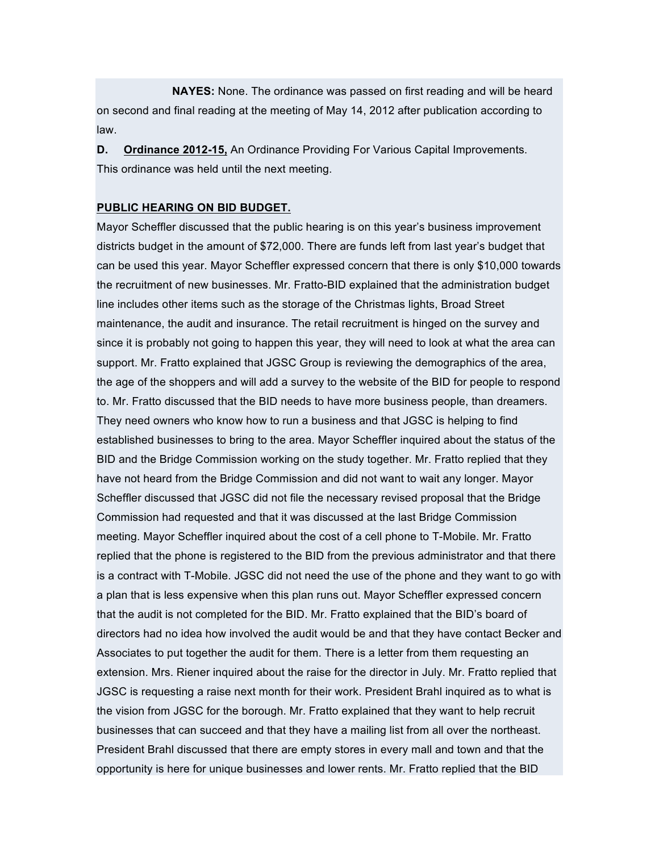**NAYES:** None. The ordinance was passed on first reading and will be heard on second and final reading at the meeting of May 14, 2012 after publication according to law.

**D. Ordinance 2012-15,** An Ordinance Providing For Various Capital Improvements. This ordinance was held until the next meeting.

#### **PUBLIC HEARING ON BID BUDGET.**

Mayor Scheffler discussed that the public hearing is on this year's business improvement districts budget in the amount of \$72,000. There are funds left from last year's budget that can be used this year. Mayor Scheffler expressed concern that there is only \$10,000 towards the recruitment of new businesses. Mr. Fratto-BID explained that the administration budget line includes other items such as the storage of the Christmas lights, Broad Street maintenance, the audit and insurance. The retail recruitment is hinged on the survey and since it is probably not going to happen this year, they will need to look at what the area can support. Mr. Fratto explained that JGSC Group is reviewing the demographics of the area, the age of the shoppers and will add a survey to the website of the BID for people to respond to. Mr. Fratto discussed that the BID needs to have more business people, than dreamers. They need owners who know how to run a business and that JGSC is helping to find established businesses to bring to the area. Mayor Scheffler inquired about the status of the BID and the Bridge Commission working on the study together. Mr. Fratto replied that they have not heard from the Bridge Commission and did not want to wait any longer. Mayor Scheffler discussed that JGSC did not file the necessary revised proposal that the Bridge Commission had requested and that it was discussed at the last Bridge Commission meeting. Mayor Scheffler inquired about the cost of a cell phone to T-Mobile. Mr. Fratto replied that the phone is registered to the BID from the previous administrator and that there is a contract with T-Mobile. JGSC did not need the use of the phone and they want to go with a plan that is less expensive when this plan runs out. Mayor Scheffler expressed concern that the audit is not completed for the BID. Mr. Fratto explained that the BID's board of directors had no idea how involved the audit would be and that they have contact Becker and Associates to put together the audit for them. There is a letter from them requesting an extension. Mrs. Riener inquired about the raise for the director in July. Mr. Fratto replied that JGSC is requesting a raise next month for their work. President Brahl inquired as to what is the vision from JGSC for the borough. Mr. Fratto explained that they want to help recruit businesses that can succeed and that they have a mailing list from all over the northeast. President Brahl discussed that there are empty stores in every mall and town and that the opportunity is here for unique businesses and lower rents. Mr. Fratto replied that the BID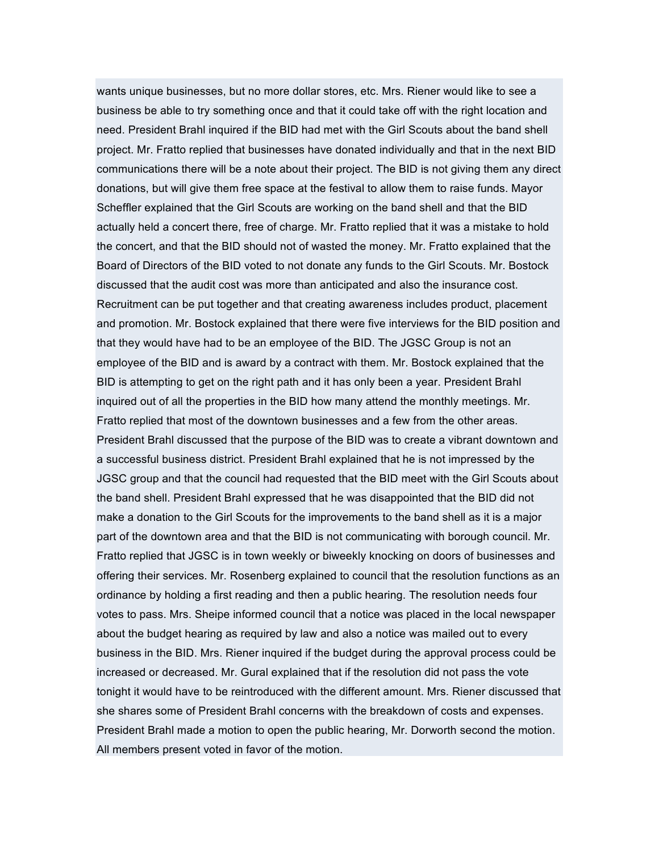wants unique businesses, but no more dollar stores, etc. Mrs. Riener would like to see a business be able to try something once and that it could take off with the right location and need. President Brahl inquired if the BID had met with the Girl Scouts about the band shell project. Mr. Fratto replied that businesses have donated individually and that in the next BID communications there will be a note about their project. The BID is not giving them any direct donations, but will give them free space at the festival to allow them to raise funds. Mayor Scheffler explained that the Girl Scouts are working on the band shell and that the BID actually held a concert there, free of charge. Mr. Fratto replied that it was a mistake to hold the concert, and that the BID should not of wasted the money. Mr. Fratto explained that the Board of Directors of the BID voted to not donate any funds to the Girl Scouts. Mr. Bostock discussed that the audit cost was more than anticipated and also the insurance cost. Recruitment can be put together and that creating awareness includes product, placement and promotion. Mr. Bostock explained that there were five interviews for the BID position and that they would have had to be an employee of the BID. The JGSC Group is not an employee of the BID and is award by a contract with them. Mr. Bostock explained that the BID is attempting to get on the right path and it has only been a year. President Brahl inquired out of all the properties in the BID how many attend the monthly meetings. Mr. Fratto replied that most of the downtown businesses and a few from the other areas. President Brahl discussed that the purpose of the BID was to create a vibrant downtown and a successful business district. President Brahl explained that he is not impressed by the JGSC group and that the council had requested that the BID meet with the Girl Scouts about the band shell. President Brahl expressed that he was disappointed that the BID did not make a donation to the Girl Scouts for the improvements to the band shell as it is a major part of the downtown area and that the BID is not communicating with borough council. Mr. Fratto replied that JGSC is in town weekly or biweekly knocking on doors of businesses and offering their services. Mr. Rosenberg explained to council that the resolution functions as an ordinance by holding a first reading and then a public hearing. The resolution needs four votes to pass. Mrs. Sheipe informed council that a notice was placed in the local newspaper about the budget hearing as required by law and also a notice was mailed out to every business in the BID. Mrs. Riener inquired if the budget during the approval process could be increased or decreased. Mr. Gural explained that if the resolution did not pass the vote tonight it would have to be reintroduced with the different amount. Mrs. Riener discussed that she shares some of President Brahl concerns with the breakdown of costs and expenses. President Brahl made a motion to open the public hearing, Mr. Dorworth second the motion. All members present voted in favor of the motion.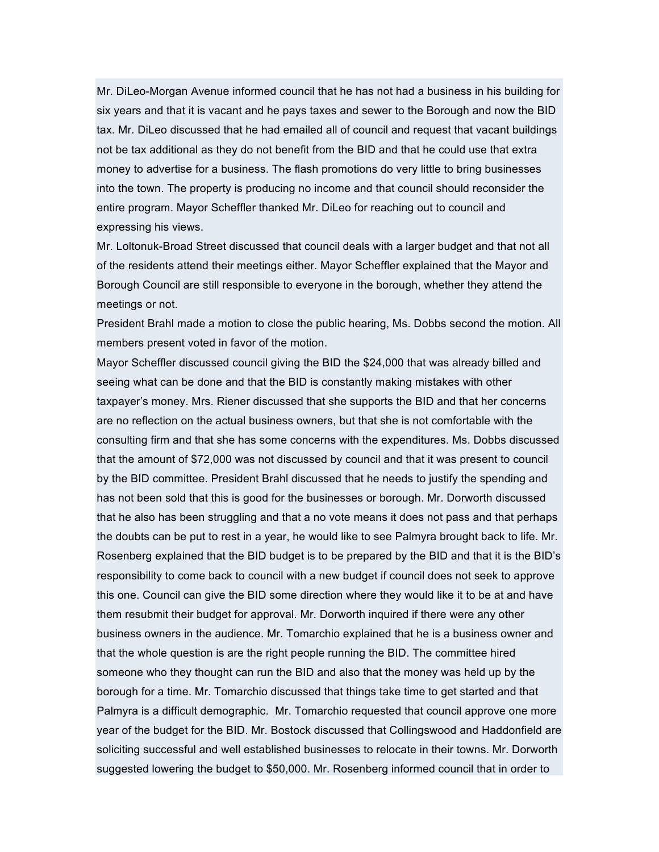Mr. DiLeo-Morgan Avenue informed council that he has not had a business in his building for six years and that it is vacant and he pays taxes and sewer to the Borough and now the BID tax. Mr. DiLeo discussed that he had emailed all of council and request that vacant buildings not be tax additional as they do not benefit from the BID and that he could use that extra money to advertise for a business. The flash promotions do very little to bring businesses into the town. The property is producing no income and that council should reconsider the entire program. Mayor Scheffler thanked Mr. DiLeo for reaching out to council and expressing his views.

Mr. Loltonuk-Broad Street discussed that council deals with a larger budget and that not all of the residents attend their meetings either. Mayor Scheffler explained that the Mayor and Borough Council are still responsible to everyone in the borough, whether they attend the meetings or not.

President Brahl made a motion to close the public hearing, Ms. Dobbs second the motion. All members present voted in favor of the motion.

Mayor Scheffler discussed council giving the BID the \$24,000 that was already billed and seeing what can be done and that the BID is constantly making mistakes with other taxpayer's money. Mrs. Riener discussed that she supports the BID and that her concerns are no reflection on the actual business owners, but that she is not comfortable with the consulting firm and that she has some concerns with the expenditures. Ms. Dobbs discussed that the amount of \$72,000 was not discussed by council and that it was present to council by the BID committee. President Brahl discussed that he needs to justify the spending and has not been sold that this is good for the businesses or borough. Mr. Dorworth discussed that he also has been struggling and that a no vote means it does not pass and that perhaps the doubts can be put to rest in a year, he would like to see Palmyra brought back to life. Mr. Rosenberg explained that the BID budget is to be prepared by the BID and that it is the BID's responsibility to come back to council with a new budget if council does not seek to approve this one. Council can give the BID some direction where they would like it to be at and have them resubmit their budget for approval. Mr. Dorworth inquired if there were any other business owners in the audience. Mr. Tomarchio explained that he is a business owner and that the whole question is are the right people running the BID. The committee hired someone who they thought can run the BID and also that the money was held up by the borough for a time. Mr. Tomarchio discussed that things take time to get started and that Palmyra is a difficult demographic. Mr. Tomarchio requested that council approve one more year of the budget for the BID. Mr. Bostock discussed that Collingswood and Haddonfield are soliciting successful and well established businesses to relocate in their towns. Mr. Dorworth suggested lowering the budget to \$50,000. Mr. Rosenberg informed council that in order to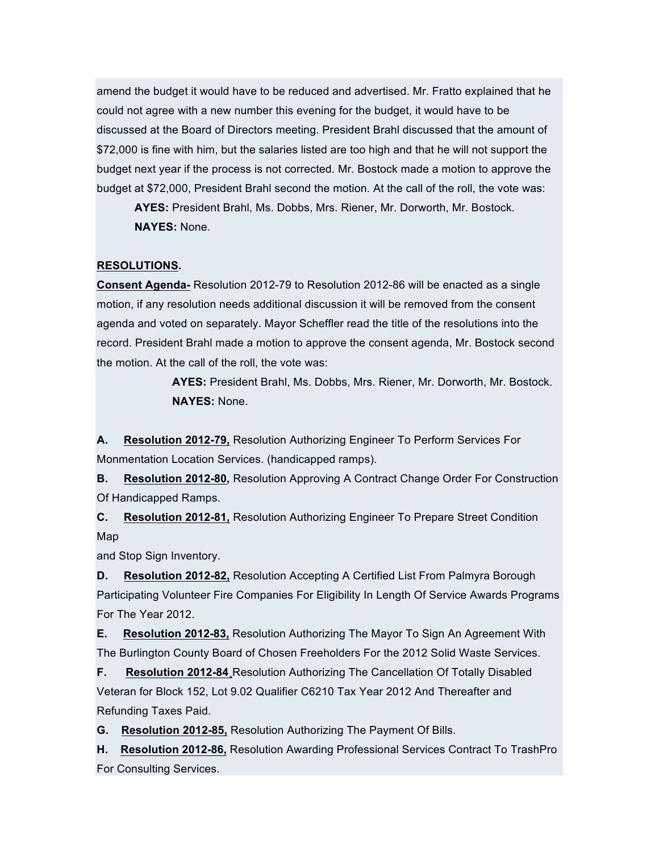amend the budget it would have to be reduced and advertised. Mr. Fratto explained that he could not agree with a new number this evening for the budget, it would have to be discussed at the Board of Directors meeting. President Brahl discussed that the amount of \$72,000 is fine with him, but the salaries listed are too high and that he will not support the budget next year if the process is not corrected. Mr. Bostock made a motion to approve the budget at \$72,000, President Brahl second the motion. At the call of the roll, the vote was:

**AYES:** President Brahl, Ms. Dobbs, Mrs. Riener, Mr. Dorworth, Mr. Bostock. **NAYES:** None.

## **RESOLUTIONS.**

**Consent Agenda-** Resolution 2012-79 to Resolution 2012-86 will be enacted as a single motion, if any resolution needs additional discussion it will be removed from the consent agenda and voted on separately. Mayor Scheffler read the title of the resolutions into the record. President Brahl made a motion to approve the consent agenda, Mr. Bostock second the motion. At the call of the roll, the vote was:

> **AYES:** President Brahl, Ms. Dobbs, Mrs. Riener, Mr. Dorworth, Mr. Bostock. **NAYES:** None.

**A. Resolution 2012-79,** Resolution Authorizing Engineer To Perform Services For Monmentation Location Services. (handicapped ramps).

**B. Resolution 2012-80,** Resolution Approving A Contract Change Order For Construction Of Handicapped Ramps.

**C. Resolution 2012-81,** Resolution Authorizing Engineer To Prepare Street Condition Map

and Stop Sign Inventory.

**D. Resolution 2012-82,** Resolution Accepting A Certified List From Palmyra Borough Participating Volunteer Fire Companies For Eligibility In Length Of Service Awards Programs For The Year 2012.

**E. Resolution 2012-83,** Resolution Authorizing The Mayor To Sign An Agreement With The Burlington County Board of Chosen Freeholders For the 2012 Solid Waste Services.

**F. Resolution 2012-84¸**Resolution Authorizing The Cancellation Of Totally Disabled Veteran for Block 152, Lot 9.02 Qualifier C6210 Tax Year 2012 And Thereafter and Refunding Taxes Paid.

**G. Resolution 2012-85,** Resolution Authorizing The Payment Of Bills.

**H. Resolution 2012-86,** Resolution Awarding Professional Services Contract To TrashPro For Consulting Services.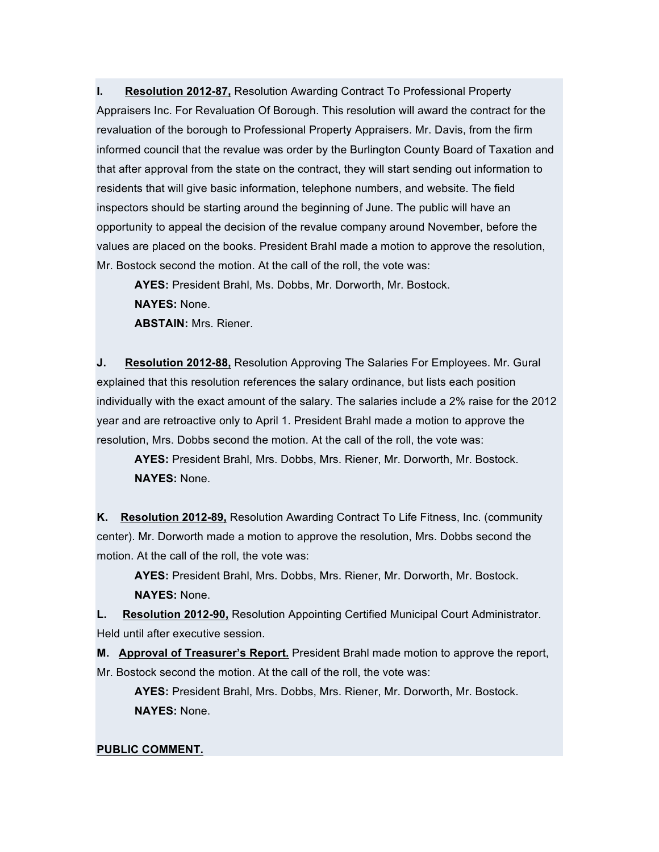**I. Resolution 2012-87,** Resolution Awarding Contract To Professional Property Appraisers Inc. For Revaluation Of Borough. This resolution will award the contract for the revaluation of the borough to Professional Property Appraisers. Mr. Davis, from the firm informed council that the revalue was order by the Burlington County Board of Taxation and that after approval from the state on the contract, they will start sending out information to residents that will give basic information, telephone numbers, and website. The field inspectors should be starting around the beginning of June. The public will have an opportunity to appeal the decision of the revalue company around November, before the values are placed on the books. President Brahl made a motion to approve the resolution, Mr. Bostock second the motion. At the call of the roll, the vote was:

**AYES:** President Brahl, Ms. Dobbs, Mr. Dorworth, Mr. Bostock. **NAYES:** None. **ABSTAIN:** Mrs. Riener.

**J. Resolution 2012-88,** Resolution Approving The Salaries For Employees. Mr. Gural explained that this resolution references the salary ordinance, but lists each position individually with the exact amount of the salary. The salaries include a 2% raise for the 2012 year and are retroactive only to April 1. President Brahl made a motion to approve the resolution, Mrs. Dobbs second the motion. At the call of the roll, the vote was:

**AYES:** President Brahl, Mrs. Dobbs, Mrs. Riener, Mr. Dorworth, Mr. Bostock. **NAYES:** None.

**K. Resolution 2012-89,** Resolution Awarding Contract To Life Fitness, Inc. (community center). Mr. Dorworth made a motion to approve the resolution, Mrs. Dobbs second the motion. At the call of the roll, the vote was:

**AYES:** President Brahl, Mrs. Dobbs, Mrs. Riener, Mr. Dorworth, Mr. Bostock. **NAYES:** None.

**L. Resolution 2012-90,** Resolution Appointing Certified Municipal Court Administrator. Held until after executive session.

**M. Approval of Treasurer's Report.** President Brahl made motion to approve the report, Mr. Bostock second the motion. At the call of the roll, the vote was:

**AYES:** President Brahl, Mrs. Dobbs, Mrs. Riener, Mr. Dorworth, Mr. Bostock. **NAYES:** None.

#### **PUBLIC COMMENT.**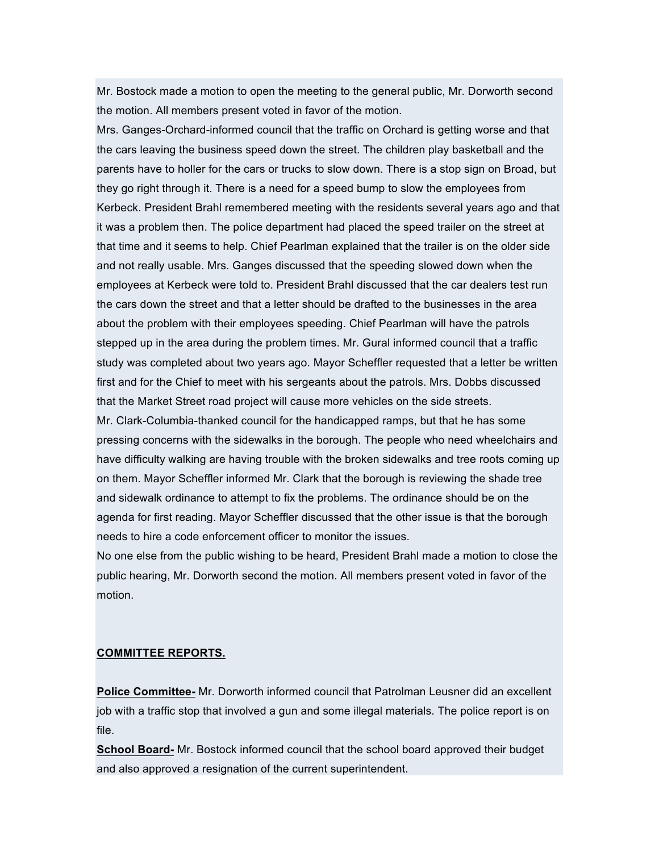Mr. Bostock made a motion to open the meeting to the general public, Mr. Dorworth second the motion. All members present voted in favor of the motion.

Mrs. Ganges-Orchard-informed council that the traffic on Orchard is getting worse and that the cars leaving the business speed down the street. The children play basketball and the parents have to holler for the cars or trucks to slow down. There is a stop sign on Broad, but they go right through it. There is a need for a speed bump to slow the employees from Kerbeck. President Brahl remembered meeting with the residents several years ago and that it was a problem then. The police department had placed the speed trailer on the street at that time and it seems to help. Chief Pearlman explained that the trailer is on the older side and not really usable. Mrs. Ganges discussed that the speeding slowed down when the employees at Kerbeck were told to. President Brahl discussed that the car dealers test run the cars down the street and that a letter should be drafted to the businesses in the area about the problem with their employees speeding. Chief Pearlman will have the patrols stepped up in the area during the problem times. Mr. Gural informed council that a traffic study was completed about two years ago. Mayor Scheffler requested that a letter be written first and for the Chief to meet with his sergeants about the patrols. Mrs. Dobbs discussed that the Market Street road project will cause more vehicles on the side streets.

Mr. Clark-Columbia-thanked council for the handicapped ramps, but that he has some pressing concerns with the sidewalks in the borough. The people who need wheelchairs and have difficulty walking are having trouble with the broken sidewalks and tree roots coming up on them. Mayor Scheffler informed Mr. Clark that the borough is reviewing the shade tree and sidewalk ordinance to attempt to fix the problems. The ordinance should be on the agenda for first reading. Mayor Scheffler discussed that the other issue is that the borough needs to hire a code enforcement officer to monitor the issues.

No one else from the public wishing to be heard, President Brahl made a motion to close the public hearing, Mr. Dorworth second the motion. All members present voted in favor of the motion.

#### **COMMITTEE REPORTS.**

**Police Committee-** Mr. Dorworth informed council that Patrolman Leusner did an excellent job with a traffic stop that involved a gun and some illegal materials. The police report is on file.

**School Board-** Mr. Bostock informed council that the school board approved their budget and also approved a resignation of the current superintendent.